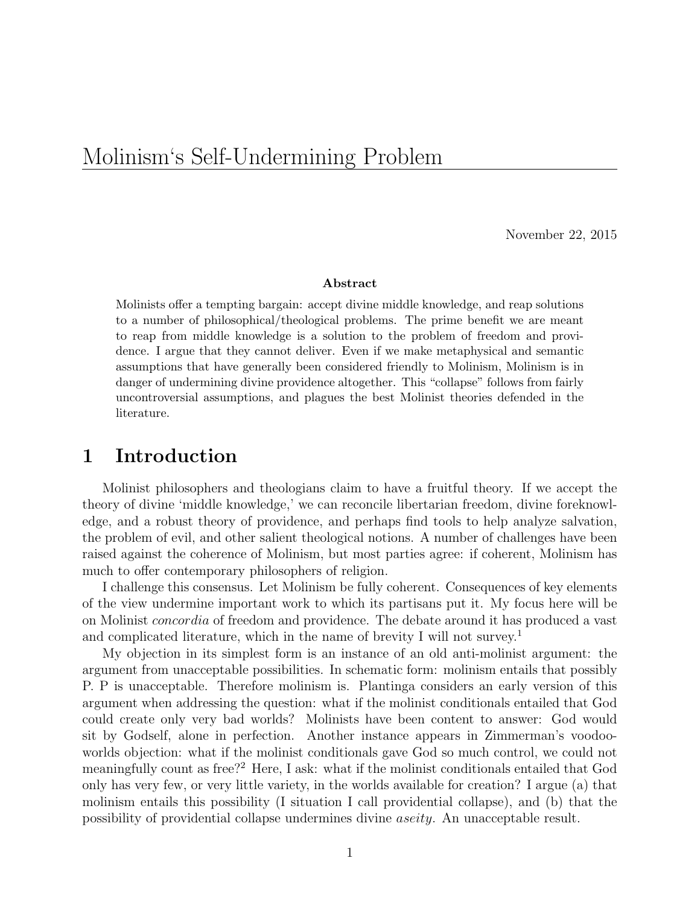# Molinism's Self-Undermining Problem

November 22, 2015

#### Abstract

Molinists offer a tempting bargain: accept divine middle knowledge, and reap solutions to a number of philosophical/theological problems. The prime benefit we are meant to reap from middle knowledge is a solution to the problem of freedom and providence. I argue that they cannot deliver. Even if we make metaphysical and semantic assumptions that have generally been considered friendly to Molinism, Molinism is in danger of undermining divine providence altogether. This "collapse" follows from fairly uncontroversial assumptions, and plagues the best Molinist theories defended in the literature.

### 1 Introduction

Molinist philosophers and theologians claim to have a fruitful theory. If we accept the theory of divine 'middle knowledge,' we can reconcile libertarian freedom, divine foreknowledge, and a robust theory of providence, and perhaps find tools to help analyze salvation, the problem of evil, and other salient theological notions. A number of challenges have been raised against the coherence of Molinism, but most parties agree: if coherent, Molinism has much to offer contemporary philosophers of religion.

I challenge this consensus. Let Molinism be fully coherent. Consequences of key elements of the view undermine important work to which its partisans put it. My focus here will be on Molinist concordia of freedom and providence. The debate around it has produced a vast and complicated literature, which in the name of brevity I will not survey.<sup>1</sup>

My objection in its simplest form is an instance of an old anti-molinist argument: the argument from unacceptable possibilities. In schematic form: molinism entails that possibly P. P is unacceptable. Therefore molinism is. Plantinga considers an early version of this argument when addressing the question: what if the molinist conditionals entailed that God could create only very bad worlds? Molinists have been content to answer: God would sit by Godself, alone in perfection. Another instance appears in Zimmerman's voodooworlds objection: what if the molinist conditionals gave God so much control, we could not meaningfully count as free?<sup>2</sup> Here, I ask: what if the molinist conditionals entailed that God only has very few, or very little variety, in the worlds available for creation? I argue (a) that molinism entails this possibility (I situation I call providential collapse), and (b) that the possibility of providential collapse undermines divine aseity. An unacceptable result.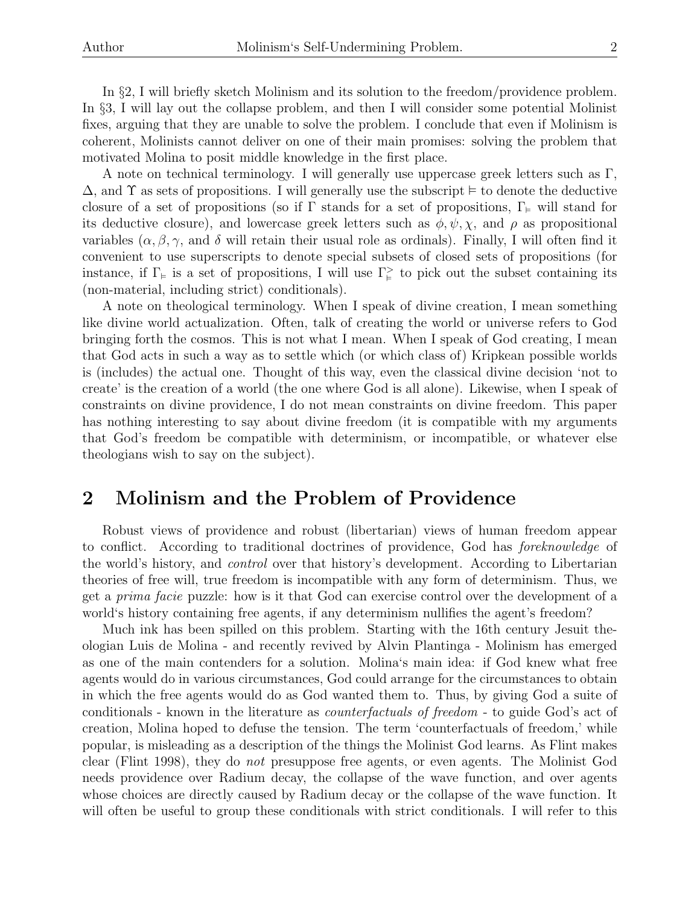In §2, I will briefly sketch Molinism and its solution to the freedom/providence problem. In §3, I will lay out the collapse problem, and then I will consider some potential Molinist fixes, arguing that they are unable to solve the problem. I conclude that even if Molinism is coherent, Molinists cannot deliver on one of their main promises: solving the problem that motivated Molina to posit middle knowledge in the first place.

A note on technical terminology. I will generally use uppercase greek letters such as Γ,  $\Delta$ , and  $\Upsilon$  as sets of propositions. I will generally use the subscript  $\models$  to denote the deductive closure of a set of propositions (so if  $\Gamma$  stands for a set of propositions,  $\Gamma_{\varepsilon}$  will stand for its deductive closure), and lowercase greek letters such as  $\phi, \psi, \chi$ , and  $\rho$  as propositional variables  $(\alpha, \beta, \gamma)$ , and  $\delta$  will retain their usual role as ordinals). Finally, I will often find it convenient to use superscripts to denote special subsets of closed sets of propositions (for instance, if  $\Gamma_{\varepsilon}$  is a set of propositions, I will use  $\Gamma_{\varepsilon}^>$  to pick out the subset containing its (non-material, including strict) conditionals).

A note on theological terminology. When I speak of divine creation, I mean something like divine world actualization. Often, talk of creating the world or universe refers to God bringing forth the cosmos. This is not what I mean. When I speak of God creating, I mean that God acts in such a way as to settle which (or which class of) Kripkean possible worlds is (includes) the actual one. Thought of this way, even the classical divine decision 'not to create' is the creation of a world (the one where God is all alone). Likewise, when I speak of constraints on divine providence, I do not mean constraints on divine freedom. This paper has nothing interesting to say about divine freedom (it is compatible with my arguments that God's freedom be compatible with determinism, or incompatible, or whatever else theologians wish to say on the subject).

## 2 Molinism and the Problem of Providence

Robust views of providence and robust (libertarian) views of human freedom appear to conflict. According to traditional doctrines of providence, God has foreknowledge of the world's history, and control over that history's development. According to Libertarian theories of free will, true freedom is incompatible with any form of determinism. Thus, we get a prima facie puzzle: how is it that God can exercise control over the development of a world's history containing free agents, if any determinism nullifies the agent's freedom?

Much ink has been spilled on this problem. Starting with the 16th century Jesuit theologian Luis de Molina - and recently revived by Alvin Plantinga - Molinism has emerged as one of the main contenders for a solution. Molina's main idea: if God knew what free agents would do in various circumstances, God could arrange for the circumstances to obtain in which the free agents would do as God wanted them to. Thus, by giving God a suite of conditionals - known in the literature as counterfactuals of freedom - to guide God's act of creation, Molina hoped to defuse the tension. The term 'counterfactuals of freedom,' while popular, is misleading as a description of the things the Molinist God learns. As Flint makes clear (Flint 1998), they do not presuppose free agents, or even agents. The Molinist God needs providence over Radium decay, the collapse of the wave function, and over agents whose choices are directly caused by Radium decay or the collapse of the wave function. It will often be useful to group these conditionals with strict conditionals. I will refer to this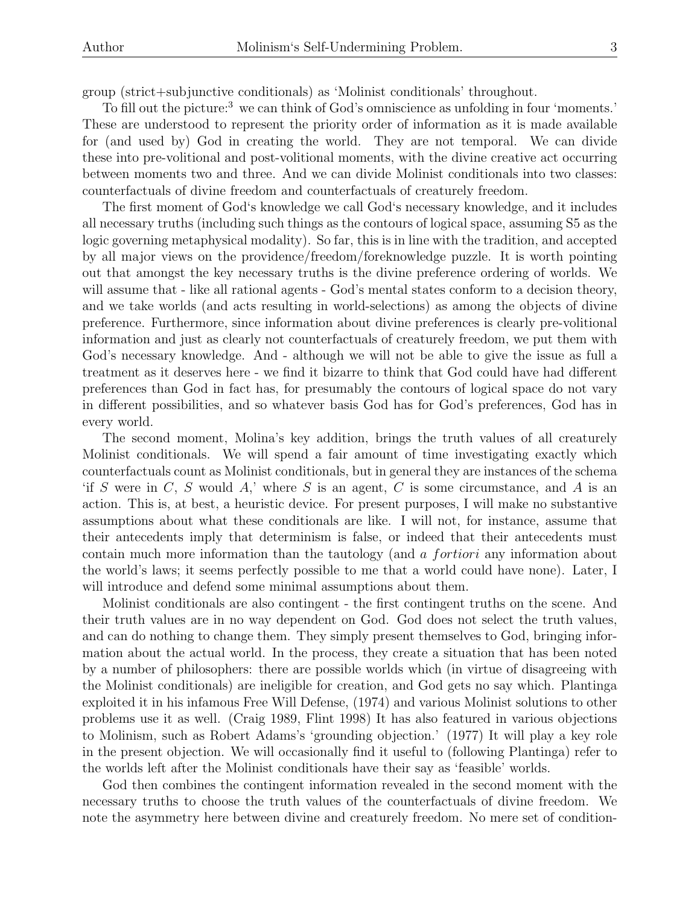group (strict+subjunctive conditionals) as 'Molinist conditionals' throughout.

To fill out the picture:<sup>3</sup> we can think of God's omniscience as unfolding in four 'moments.' These are understood to represent the priority order of information as it is made available for (and used by) God in creating the world. They are not temporal. We can divide these into pre-volitional and post-volitional moments, with the divine creative act occurring between moments two and three. And we can divide Molinist conditionals into two classes: counterfactuals of divine freedom and counterfactuals of creaturely freedom.

The first moment of God's knowledge we call God's necessary knowledge, and it includes all necessary truths (including such things as the contours of logical space, assuming S5 as the logic governing metaphysical modality). So far, this is in line with the tradition, and accepted by all major views on the providence/freedom/foreknowledge puzzle. It is worth pointing out that amongst the key necessary truths is the divine preference ordering of worlds. We will assume that - like all rational agents - God's mental states conform to a decision theory, and we take worlds (and acts resulting in world-selections) as among the objects of divine preference. Furthermore, since information about divine preferences is clearly pre-volitional information and just as clearly not counterfactuals of creaturely freedom, we put them with God's necessary knowledge. And - although we will not be able to give the issue as full a treatment as it deserves here - we find it bizarre to think that God could have had different preferences than God in fact has, for presumably the contours of logical space do not vary in different possibilities, and so whatever basis God has for God's preferences, God has in every world.

The second moment, Molina's key addition, brings the truth values of all creaturely Molinist conditionals. We will spend a fair amount of time investigating exactly which counterfactuals count as Molinist conditionals, but in general they are instances of the schema 'if S were in  $C, S$  would A,' where S is an agent, C is some circumstance, and A is an action. This is, at best, a heuristic device. For present purposes, I will make no substantive assumptions about what these conditionals are like. I will not, for instance, assume that their antecedents imply that determinism is false, or indeed that their antecedents must contain much more information than the tautology (and a fortiori any information about the world's laws; it seems perfectly possible to me that a world could have none). Later, I will introduce and defend some minimal assumptions about them.

Molinist conditionals are also contingent - the first contingent truths on the scene. And their truth values are in no way dependent on God. God does not select the truth values, and can do nothing to change them. They simply present themselves to God, bringing information about the actual world. In the process, they create a situation that has been noted by a number of philosophers: there are possible worlds which (in virtue of disagreeing with the Molinist conditionals) are ineligible for creation, and God gets no say which. Plantinga exploited it in his infamous Free Will Defense, (1974) and various Molinist solutions to other problems use it as well. (Craig 1989, Flint 1998) It has also featured in various objections to Molinism, such as Robert Adams's 'grounding objection.' (1977) It will play a key role in the present objection. We will occasionally find it useful to (following Plantinga) refer to the worlds left after the Molinist conditionals have their say as 'feasible' worlds.

God then combines the contingent information revealed in the second moment with the necessary truths to choose the truth values of the counterfactuals of divine freedom. We note the asymmetry here between divine and creaturely freedom. No mere set of condition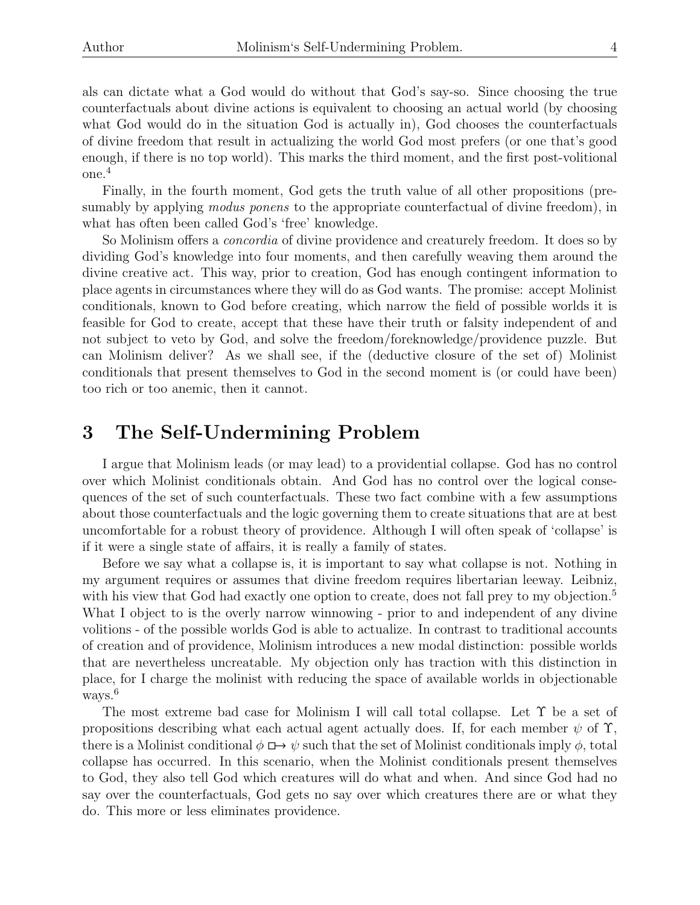als can dictate what a God would do without that God's say-so. Since choosing the true counterfactuals about divine actions is equivalent to choosing an actual world (by choosing what God would do in the situation God is actually in), God chooses the counterfactuals of divine freedom that result in actualizing the world God most prefers (or one that's good enough, if there is no top world). This marks the third moment, and the first post-volitional one.<sup>4</sup>

Finally, in the fourth moment, God gets the truth value of all other propositions (presumably by applying *modus ponens* to the appropriate counterfactual of divine freedom), in what has often been called God's 'free' knowledge.

So Molinism offers a *concordia* of divine providence and creaturely freedom. It does so by dividing God's knowledge into four moments, and then carefully weaving them around the divine creative act. This way, prior to creation, God has enough contingent information to place agents in circumstances where they will do as God wants. The promise: accept Molinist conditionals, known to God before creating, which narrow the field of possible worlds it is feasible for God to create, accept that these have their truth or falsity independent of and not subject to veto by God, and solve the freedom/foreknowledge/providence puzzle. But can Molinism deliver? As we shall see, if the (deductive closure of the set of) Molinist conditionals that present themselves to God in the second moment is (or could have been) too rich or too anemic, then it cannot.

### 3 The Self-Undermining Problem

I argue that Molinism leads (or may lead) to a providential collapse. God has no control over which Molinist conditionals obtain. And God has no control over the logical consequences of the set of such counterfactuals. These two fact combine with a few assumptions about those counterfactuals and the logic governing them to create situations that are at best uncomfortable for a robust theory of providence. Although I will often speak of 'collapse' is if it were a single state of affairs, it is really a family of states.

Before we say what a collapse is, it is important to say what collapse is not. Nothing in my argument requires or assumes that divine freedom requires libertarian leeway. Leibniz, with his view that God had exactly one option to create, does not fall prey to my objection.<sup>5</sup> What I object to is the overly narrow winnowing - prior to and independent of any divine volitions - of the possible worlds God is able to actualize. In contrast to traditional accounts of creation and of providence, Molinism introduces a new modal distinction: possible worlds that are nevertheless uncreatable. My objection only has traction with this distinction in place, for I charge the molinist with reducing the space of available worlds in objectionable ways.<sup>6</sup>

The most extreme bad case for Molinism I will call total collapse. Let Υ be a set of propositions describing what each actual agent actually does. If, for each member  $\psi$  of  $\Upsilon$ , there is a Molinist conditional  $\phi \mapsto \psi$  such that the set of Molinist conditionals imply  $\phi$ , total collapse has occurred. In this scenario, when the Molinist conditionals present themselves to God, they also tell God which creatures will do what and when. And since God had no say over the counterfactuals, God gets no say over which creatures there are or what they do. This more or less eliminates providence.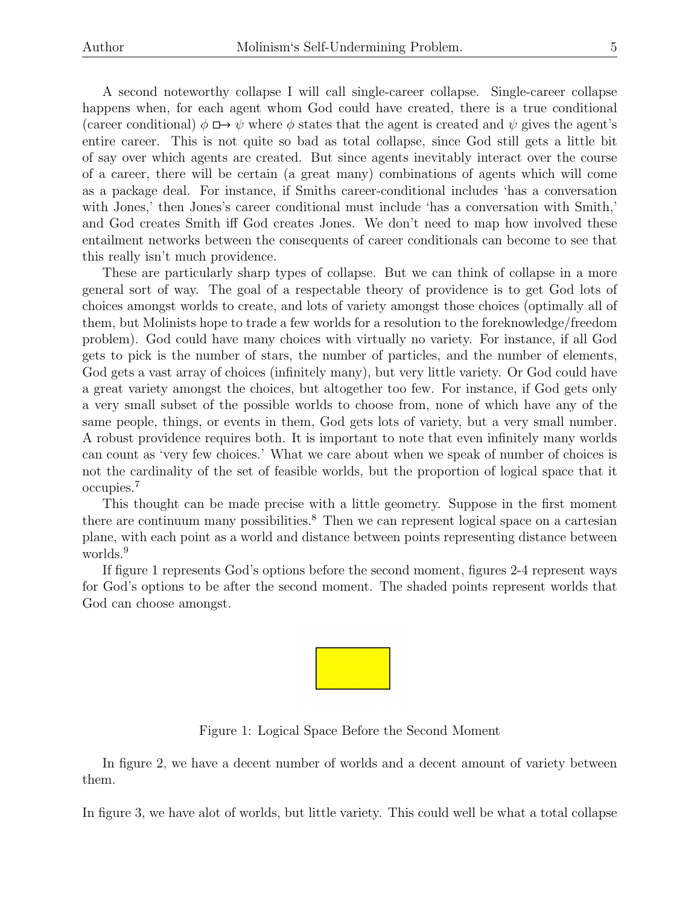A second noteworthy collapse I will call single-career collapse. Single-career collapse happens when, for each agent whom God could have created, there is a true conditional (career conditional)  $\phi \mapsto \psi$  where  $\phi$  states that the agent is created and  $\psi$  gives the agent's entire career. This is not quite so bad as total collapse, since God still gets a little bit of say over which agents are created. But since agents inevitably interact over the course of a career, there will be certain (a great many) combinations of agents which will come as a package deal. For instance, if Smiths career-conditional includes 'has a conversation with Jones,' then Jones's career conditional must include 'has a conversation with Smith,' and God creates Smith iff God creates Jones. We don't need to map how involved these entailment networks between the consequents of career conditionals can become to see that this really isn't much providence.

These are particularly sharp types of collapse. But we can think of collapse in a more general sort of way. The goal of a respectable theory of providence is to get God lots of choices amongst worlds to create, and lots of variety amongst those choices (optimally all of them, but Molinists hope to trade a few worlds for a resolution to the foreknowledge/freedom problem). God could have many choices with virtually no variety. For instance, if all God gets to pick is the number of stars, the number of particles, and the number of elements, God gets a vast array of choices (infinitely many), but very little variety. Or God could have a great variety amongst the choices, but altogether too few. For instance, if God gets only a very small subset of the possible worlds to choose from, none of which have any of the same people, things, or events in them, God gets lots of variety, but a very small number. A robust providence requires both. It is important to note that even infinitely many worlds can count as 'very few choices.' What we care about when we speak of number of choices is not the cardinality of the set of feasible worlds, but the proportion of logical space that it occupies.<sup>7</sup>

This thought can be made precise with a little geometry. Suppose in the first moment there are continuum many possibilities.<sup>8</sup> Then we can represent logical space on a cartesian plane, with each point as a world and distance between points representing distance between worlds.<sup>9</sup>

If figure 1 represents God's options before the second moment, figures 2-4 represent ways for God's options to be after the second moment. The shaded points represent worlds that God can choose amongst.



Figure 1: Logical Space Before the Second Moment

In figure 2, we have a decent number of worlds and a decent amount of variety between them.

In figure 3, we have alot of worlds, but little variety. This could well be what a total collapse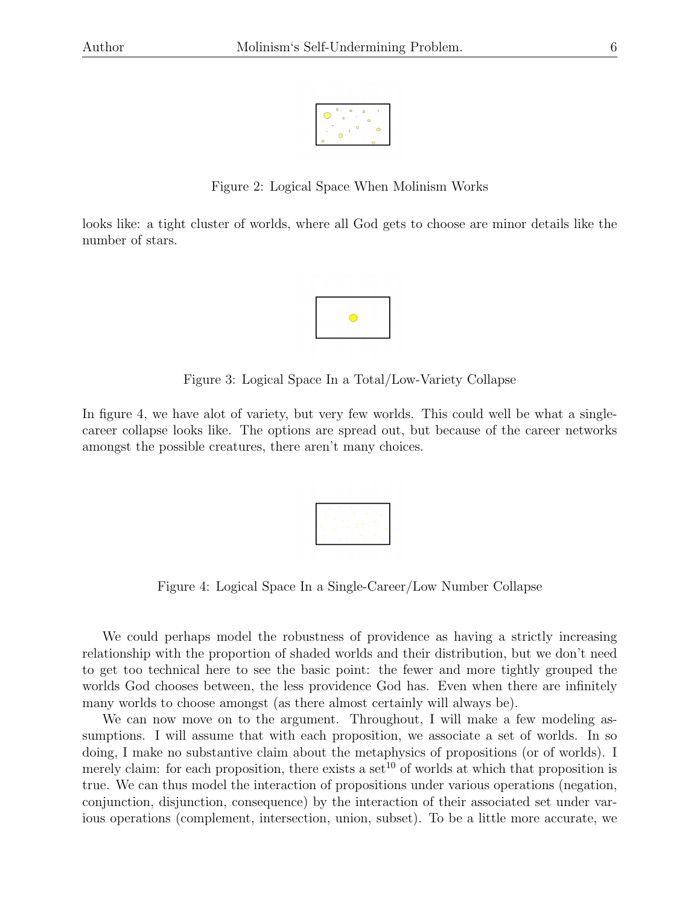

Figure 2: Logical Space When Molinism Works

looks like: a tight cluster of worlds, where all God gets to choose are minor details like the number of stars.



Figure 3: Logical Space In a Total/Low-Variety Collapse

In figure 4, we have alot of variety, but very few worlds. This could well be what a singlecareer collapse looks like. The options are spread out, but because of the career networks amongst the possible creatures, there aren't many choices.

|   |                             | ÷   | ٠           |  |
|---|-----------------------------|-----|-------------|--|
|   | ×                           | . . |             |  |
|   | $\mathcal{L}_{\mathcal{A}}$ | t   | $\sim$<br>× |  |
|   |                             |     |             |  |
| ï | t                           | ÷.  | ٠.          |  |
|   |                             |     |             |  |

Figure 4: Logical Space In a Single-Career/Low Number Collapse

We could perhaps model the robustness of providence as having a strictly increasing relationship with the proportion of shaded worlds and their distribution, but we don't need to get too technical here to see the basic point: the fewer and more tightly grouped the worlds God chooses between, the less providence God has. Even when there are infinitely many worlds to choose amongst (as there almost certainly will always be).

We can now move on to the argument. Throughout, I will make a few modeling assumptions. I will assume that with each proposition, we associate a set of worlds. In so doing, I make no substantive claim about the metaphysics of propositions (or of worlds). I merely claim: for each proposition, there exists a set<sup>10</sup> of worlds at which that proposition is true. We can thus model the interaction of propositions under various operations (negation, conjunction, disjunction, consequence) by the interaction of their associated set under various operations (complement, intersection, union, subset). To be a little more accurate, we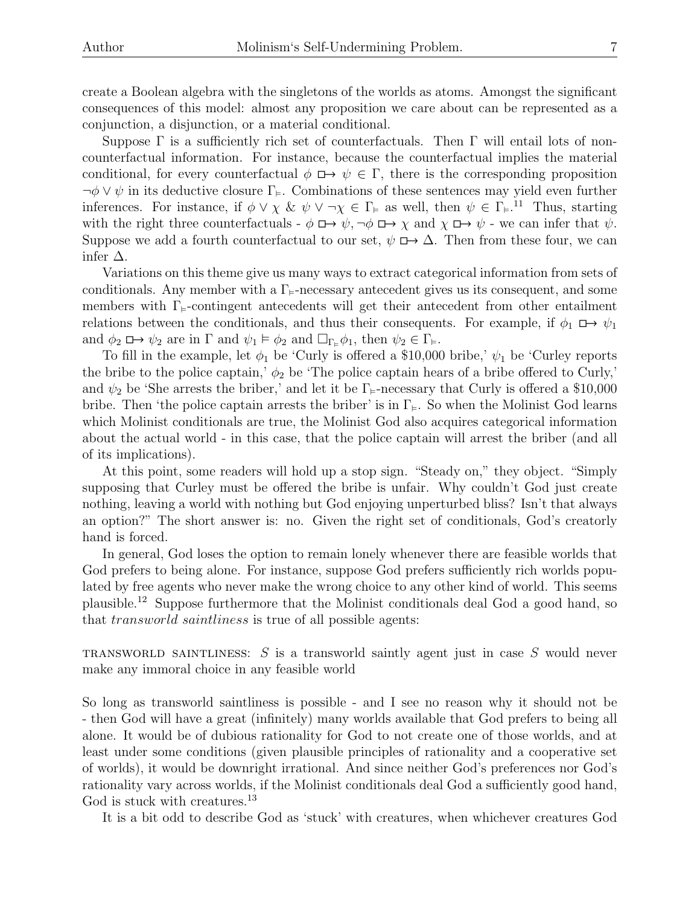create a Boolean algebra with the singletons of the worlds as atoms. Amongst the significant consequences of this model: almost any proposition we care about can be represented as a conjunction, a disjunction, or a material conditional.

Suppose  $\Gamma$  is a sufficiently rich set of counterfactuals. Then  $\Gamma$  will entail lots of noncounterfactual information. For instance, because the counterfactual implies the material conditional, for every counterfactual  $\phi \mapsto \psi \in \Gamma$ , there is the corresponding proposition  $\neg \phi \lor \psi$  in its deductive closure  $\Gamma_{\vDash}$ . Combinations of these sentences may yield even further inferences. For instance, if  $\phi \vee \chi \& \psi \vee \neg \chi \in \Gamma_{\models}$  as well, then  $\psi \in \Gamma_{\models}$ .<sup>11</sup> Thus, starting with the right three counterfactuals -  $\phi \mapsto \psi$ ,  $\neg \phi \mapsto \chi$  and  $\chi \mapsto \psi$  - we can infer that  $\psi$ . Suppose we add a fourth counterfactual to our set,  $\psi \mapsto \Delta$ . Then from these four, we can infer  $\Delta$ .

Variations on this theme give us many ways to extract categorical information from sets of conditionals. Any member with a  $\Gamma_{\varepsilon}$ -necessary antecedent gives us its consequent, and some members with  $\Gamma_{\varepsilon}$ -contingent antecedents will get their antecedent from other entailment relations between the conditionals, and thus their consequents. For example, if  $\phi_1 \mapsto \psi_1$ and  $\phi_2 \Box \rightarrow \psi_2$  are in  $\Gamma$  and  $\psi_1 \models \phi_2$  and  $\Box_{\Gamma_{\models}} \phi_1$ , then  $\psi_2 \in \Gamma_{\models}$ .

To fill in the example, let  $\phi_1$  be 'Curly is offered a \$10,000 bribe,'  $\psi_1$  be 'Curley reports the bribe to the police captain,'  $\phi_2$  be 'The police captain hears of a bribe offered to Curly,' and  $\psi_2$  be 'She arrests the briber,' and let it be  $\Gamma_{\varepsilon}$ -necessary that Curly is offered a \$10,000 bribe. Then 'the police captain arrests the briber' is in  $\Gamma_{\models}$ . So when the Molinist God learns which Molinist conditionals are true, the Molinist God also acquires categorical information about the actual world - in this case, that the police captain will arrest the briber (and all of its implications).

At this point, some readers will hold up a stop sign. "Steady on," they object. "Simply supposing that Curley must be offered the bribe is unfair. Why couldn't God just create nothing, leaving a world with nothing but God enjoying unperturbed bliss? Isn't that always an option?" The short answer is: no. Given the right set of conditionals, God's creatorly hand is forced.

In general, God loses the option to remain lonely whenever there are feasible worlds that God prefers to being alone. For instance, suppose God prefers sufficiently rich worlds populated by free agents who never make the wrong choice to any other kind of world. This seems plausible.<sup>12</sup> Suppose furthermore that the Molinist conditionals deal God a good hand, so that transworld saintliness is true of all possible agents:

TRANSWORLD SAINTLINESS:  $S$  is a transworld saintly agent just in case  $S$  would never make any immoral choice in any feasible world

So long as transworld saintliness is possible - and I see no reason why it should not be - then God will have a great (infinitely) many worlds available that God prefers to being all alone. It would be of dubious rationality for God to not create one of those worlds, and at least under some conditions (given plausible principles of rationality and a cooperative set of worlds), it would be downright irrational. And since neither God's preferences nor God's rationality vary across worlds, if the Molinist conditionals deal God a sufficiently good hand, God is stuck with creatures.<sup>13</sup>

It is a bit odd to describe God as 'stuck' with creatures, when whichever creatures God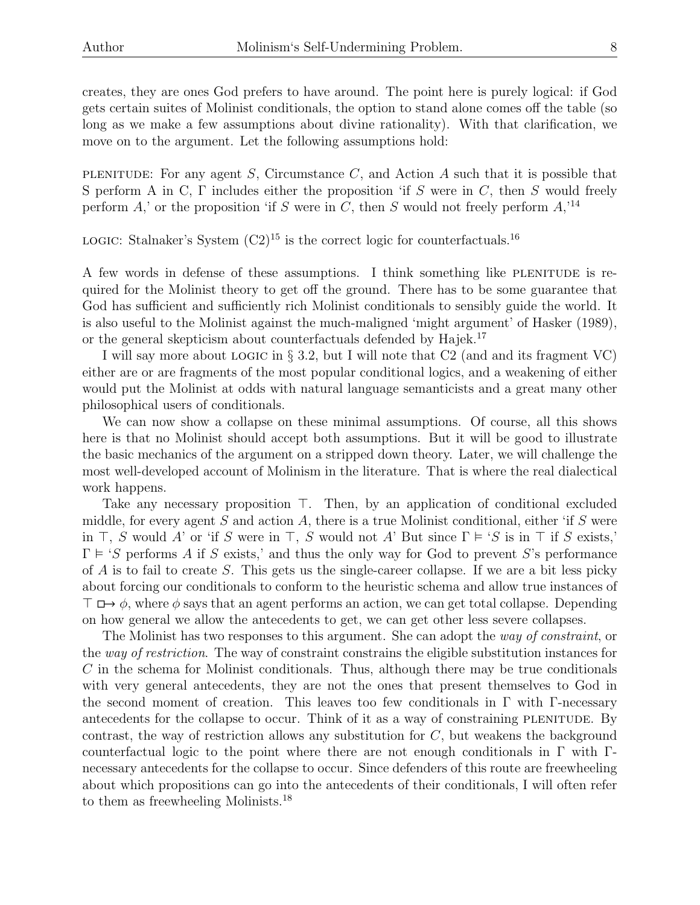creates, they are ones God prefers to have around. The point here is purely logical: if God gets certain suites of Molinist conditionals, the option to stand alone comes off the table (so long as we make a few assumptions about divine rationality). With that clarification, we move on to the argument. Let the following assumptions hold:

PLENITUDE: For any agent S, Circumstance  $C$ , and Action A such that it is possible that S perform A in C,  $\Gamma$  includes either the proposition 'if S were in C, then S would freely perform A,' or the proposition 'if S were in C, then S would not freely perform  $A$ ,<sup>14</sup>

LOGIC: Stalnaker's System  $(C2)^{15}$  is the correct logic for counterfactuals.<sup>16</sup>

A few words in defense of these assumptions. I think something like plenitude is required for the Molinist theory to get off the ground. There has to be some guarantee that God has sufficient and sufficiently rich Molinist conditionals to sensibly guide the world. It is also useful to the Molinist against the much-maligned 'might argument' of Hasker (1989), or the general skepticism about counterfactuals defended by Hajek.<sup>17</sup>

I will say more about logic in § 3.2, but I will note that C2 (and and its fragment VC) either are or are fragments of the most popular conditional logics, and a weakening of either would put the Molinist at odds with natural language semanticists and a great many other philosophical users of conditionals.

We can now show a collapse on these minimal assumptions. Of course, all this shows here is that no Molinist should accept both assumptions. But it will be good to illustrate the basic mechanics of the argument on a stripped down theory. Later, we will challenge the most well-developed account of Molinism in the literature. That is where the real dialectical work happens.

Take any necessary proposition  $\top$ . Then, by an application of conditional excluded middle, for every agent  $S$  and action  $A$ , there is a true Molinist conditional, either 'if  $S$  were in  $\top$ , S would A' or 'if S were in  $\top$ , S would not A' But since  $\Gamma \models 'S$  is in  $\top$  if S exists,'  $\Gamma \models 'S$  performs A if S exists,' and thus the only way for God to prevent S's performance of  $\vec{A}$  is to fail to create  $S$ . This gets us the single-career collapse. If we are a bit less picky about forcing our conditionals to conform to the heuristic schema and allow true instances of  $\top \Box \rightarrow \phi$ , where  $\phi$  says that an agent performs an action, we can get total collapse. Depending on how general we allow the antecedents to get, we can get other less severe collapses.

The Molinist has two responses to this argument. She can adopt the way of constraint, or the way of restriction. The way of constraint constrains the eligible substitution instances for  $C$  in the schema for Molinist conditionals. Thus, although there may be true conditionals with very general antecedents, they are not the ones that present themselves to God in the second moment of creation. This leaves too few conditionals in  $\Gamma$  with  $\Gamma$ -necessary antecedents for the collapse to occur. Think of it as a way of constraining PLENITUDE. By contrast, the way of restriction allows any substitution for  $C$ , but weakens the background counterfactual logic to the point where there are not enough conditionals in  $\Gamma$  with  $\Gamma$ necessary antecedents for the collapse to occur. Since defenders of this route are freewheeling about which propositions can go into the antecedents of their conditionals, I will often refer to them as freewheeling Molinists.<sup>18</sup>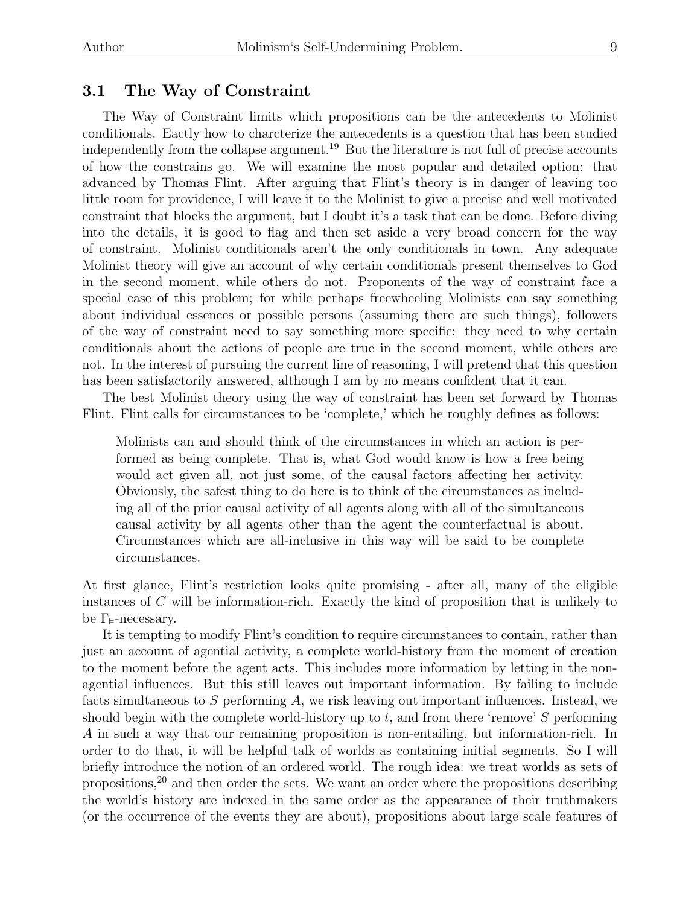### 3.1 The Way of Constraint

The Way of Constraint limits which propositions can be the antecedents to Molinist conditionals. Eactly how to charcterize the antecedents is a question that has been studied independently from the collapse argument.<sup>19</sup> But the literature is not full of precise accounts of how the constrains go. We will examine the most popular and detailed option: that advanced by Thomas Flint. After arguing that Flint's theory is in danger of leaving too little room for providence, I will leave it to the Molinist to give a precise and well motivated constraint that blocks the argument, but I doubt it's a task that can be done. Before diving into the details, it is good to flag and then set aside a very broad concern for the way of constraint. Molinist conditionals aren't the only conditionals in town. Any adequate Molinist theory will give an account of why certain conditionals present themselves to God in the second moment, while others do not. Proponents of the way of constraint face a special case of this problem; for while perhaps freewheeling Molinists can say something about individual essences or possible persons (assuming there are such things), followers of the way of constraint need to say something more specific: they need to why certain conditionals about the actions of people are true in the second moment, while others are not. In the interest of pursuing the current line of reasoning, I will pretend that this question has been satisfactorily answered, although I am by no means confident that it can.

The best Molinist theory using the way of constraint has been set forward by Thomas Flint. Flint calls for circumstances to be 'complete,' which he roughly defines as follows:

Molinists can and should think of the circumstances in which an action is performed as being complete. That is, what God would know is how a free being would act given all, not just some, of the causal factors affecting her activity. Obviously, the safest thing to do here is to think of the circumstances as including all of the prior causal activity of all agents along with all of the simultaneous causal activity by all agents other than the agent the counterfactual is about. Circumstances which are all-inclusive in this way will be said to be complete circumstances.

At first glance, Flint's restriction looks quite promising - after all, many of the eligible instances of C will be information-rich. Exactly the kind of proposition that is unlikely to be  $\Gamma_{\models}$ -necessary.

It is tempting to modify Flint's condition to require circumstances to contain, rather than just an account of agential activity, a complete world-history from the moment of creation to the moment before the agent acts. This includes more information by letting in the nonagential influences. But this still leaves out important information. By failing to include facts simultaneous to  $S$  performing  $A$ , we risk leaving out important influences. Instead, we should begin with the complete world-history up to  $t$ , and from there 'remove'  $S$  performing A in such a way that our remaining proposition is non-entailing, but information-rich. In order to do that, it will be helpful talk of worlds as containing initial segments. So I will briefly introduce the notion of an ordered world. The rough idea: we treat worlds as sets of propositions,<sup>20</sup> and then order the sets. We want an order where the propositions describing the world's history are indexed in the same order as the appearance of their truthmakers (or the occurrence of the events they are about), propositions about large scale features of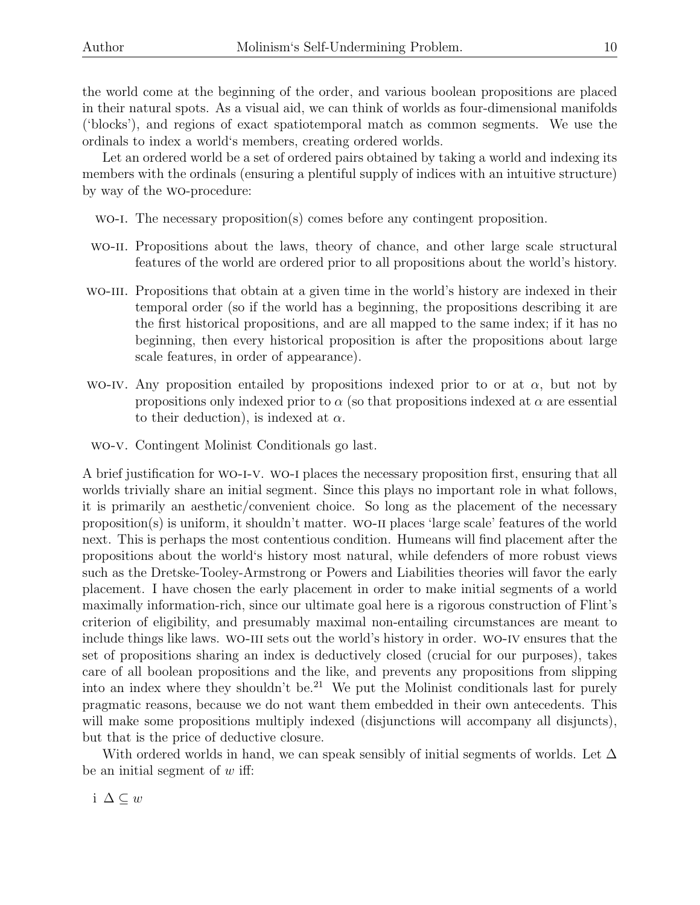the world come at the beginning of the order, and various boolean propositions are placed in their natural spots. As a visual aid, we can think of worlds as four-dimensional manifolds ('blocks'), and regions of exact spatiotemporal match as common segments. We use the ordinals to index a world's members, creating ordered worlds.

Let an ordered world be a set of ordered pairs obtained by taking a world and indexing its members with the ordinals (ensuring a plentiful supply of indices with an intuitive structure) by way of the wo-procedure:

wo-i. The necessary proposition(s) comes before any contingent proposition.

- wo-ii. Propositions about the laws, theory of chance, and other large scale structural features of the world are ordered prior to all propositions about the world's history.
- wo-iii. Propositions that obtain at a given time in the world's history are indexed in their temporal order (so if the world has a beginning, the propositions describing it are the first historical propositions, and are all mapped to the same index; if it has no beginning, then every historical proposition is after the propositions about large scale features, in order of appearance).
- WO-IV. Any proposition entailed by propositions indexed prior to or at  $\alpha$ , but not by propositions only indexed prior to  $\alpha$  (so that propositions indexed at  $\alpha$  are essential to their deduction), is indexed at  $\alpha$ .
- wo-v. Contingent Molinist Conditionals go last.

A brief justification for wo-i-v. wo-i places the necessary proposition first, ensuring that all worlds trivially share an initial segment. Since this plays no important role in what follows, it is primarily an aesthetic/convenient choice. So long as the placement of the necessary proposition(s) is uniform, it shouldn't matter. wo-ii places 'large scale' features of the world next. This is perhaps the most contentious condition. Humeans will find placement after the propositions about the world's history most natural, while defenders of more robust views such as the Dretske-Tooley-Armstrong or Powers and Liabilities theories will favor the early placement. I have chosen the early placement in order to make initial segments of a world maximally information-rich, since our ultimate goal here is a rigorous construction of Flint's criterion of eligibility, and presumably maximal non-entailing circumstances are meant to include things like laws. WO-III sets out the world's history in order. WO-IV ensures that the set of propositions sharing an index is deductively closed (crucial for our purposes), takes care of all boolean propositions and the like, and prevents any propositions from slipping into an index where they shouldn't be.<sup>21</sup> We put the Molinist conditionals last for purely pragmatic reasons, because we do not want them embedded in their own antecedents. This will make some propositions multiply indexed (disjunctions will accompany all disjuncts), but that is the price of deductive closure.

With ordered worlds in hand, we can speak sensibly of initial segments of worlds. Let  $\Delta$ be an initial segment of  $w$  iff:

i ∆ ⊆ w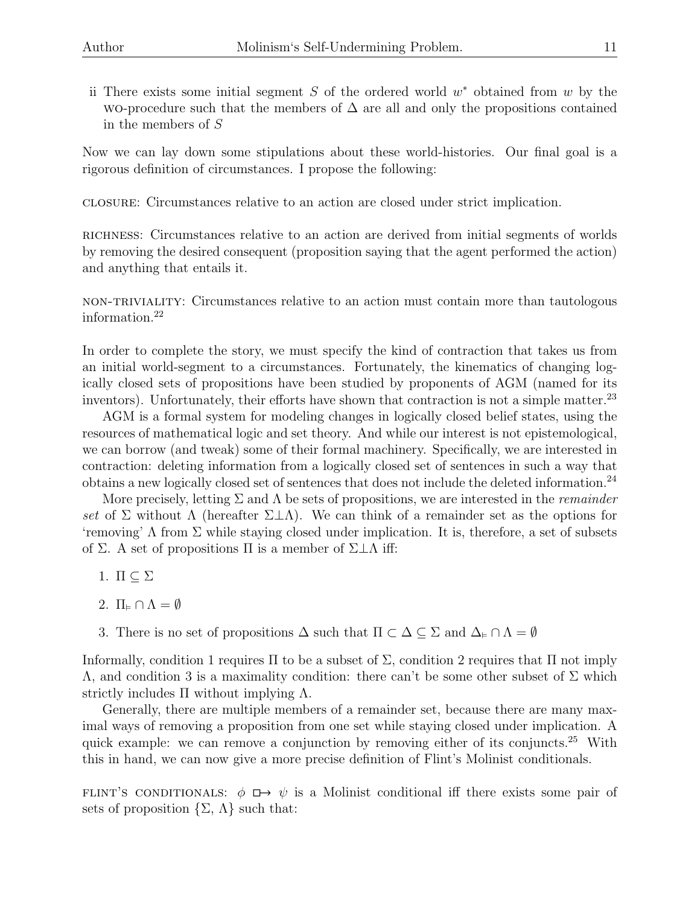ii There exists some initial segment  $S$  of the ordered world  $w^*$  obtained from  $w$  by the WO-procedure such that the members of  $\Delta$  are all and only the propositions contained in the members of S

Now we can lay down some stipulations about these world-histories. Our final goal is a rigorous definition of circumstances. I propose the following:

closure: Circumstances relative to an action are closed under strict implication.

richness: Circumstances relative to an action are derived from initial segments of worlds by removing the desired consequent (proposition saying that the agent performed the action) and anything that entails it.

non-triviality: Circumstances relative to an action must contain more than tautologous information.<sup>22</sup>

In order to complete the story, we must specify the kind of contraction that takes us from an initial world-segment to a circumstances. Fortunately, the kinematics of changing logically closed sets of propositions have been studied by proponents of AGM (named for its inventors). Unfortunately, their efforts have shown that contraction is not a simple matter. $^{23}$ 

AGM is a formal system for modeling changes in logically closed belief states, using the resources of mathematical logic and set theory. And while our interest is not epistemological, we can borrow (and tweak) some of their formal machinery. Specifically, we are interested in contraction: deleting information from a logically closed set of sentences in such a way that obtains a new logically closed set of sentences that does not include the deleted information.<sup>24</sup>

More precisely, letting  $\Sigma$  and  $\Lambda$  be sets of propositions, we are interested in the *remainder* set of Σ without Λ (hereafter  $\Sigma \perp \Lambda$ ). We can think of a remainder set as the options for 'removing'  $\Lambda$  from  $\Sigma$  while staying closed under implication. It is, therefore, a set of subsets of Σ. A set of propositions  $\Pi$  is a member of  $\Sigma\bot\Lambda$  iff:

- 1.  $\Pi \subseteq \Sigma$
- 2.  $\Pi_{\varepsilon} \cap \Lambda = \emptyset$
- 3. There is no set of propositions  $\Delta$  such that  $\Pi \subset \Delta \subseteq \Sigma$  and  $\Delta_{\varepsilon} \cap \Lambda = \emptyset$

Informally, condition 1 requires  $\Pi$  to be a subset of  $\Sigma$ , condition 2 requires that  $\Pi$  not imply  $Λ$ , and condition 3 is a maximality condition: there can't be some other subset of Σ which strictly includes  $\Pi$  without implying  $\Lambda$ .

Generally, there are multiple members of a remainder set, because there are many maximal ways of removing a proposition from one set while staying closed under implication. A quick example: we can remove a conjunction by removing either of its conjuncts.<sup>25</sup> With this in hand, we can now give a more precise definition of Flint's Molinist conditionals.

FLINT'S CONDITIONALS:  $\phi \mapsto \psi$  is a Molinist conditional iff there exists some pair of sets of proposition  $\{\Sigma, \Lambda\}$  such that: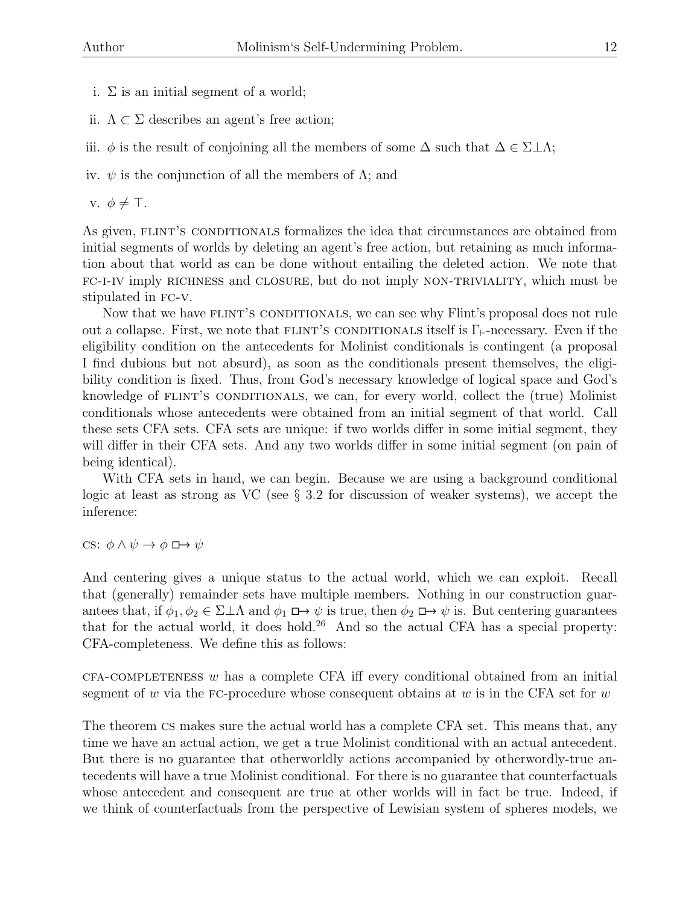- i.  $\Sigma$  is an initial segment of a world;
- ii.  $\Lambda \subset \Sigma$  describes an agent's free action;
- iii.  $\phi$  is the result of conjoining all the members of some  $\Delta$  such that  $\Delta \in \Sigma \perp \Lambda$ ;
- iv.  $\psi$  is the conjunction of all the members of  $\Lambda$ ; and

v.  $\phi \neq \top$ .

As given, FLINT'S CONDITIONALS formalizes the idea that circumstances are obtained from initial segments of worlds by deleting an agent's free action, but retaining as much information about that world as can be done without entailing the deleted action. We note that fc-i-iv imply richness and closure, but do not imply non-triviality, which must be stipulated in FC-V.

Now that we have FLINT's CONDITIONALS, we can see why Flint's proposal does not rule out a collapse. First, we note that FLINT's CONDITIONALS itself is  $\Gamma_{\varepsilon}$ -necessary. Even if the eligibility condition on the antecedents for Molinist conditionals is contingent (a proposal I find dubious but not absurd), as soon as the conditionals present themselves, the eligibility condition is fixed. Thus, from God's necessary knowledge of logical space and God's knowledge of FLINT's CONDITIONALS, we can, for every world, collect the (true) Molinist conditionals whose antecedents were obtained from an initial segment of that world. Call these sets CFA sets. CFA sets are unique: if two worlds differ in some initial segment, they will differ in their CFA sets. And any two worlds differ in some initial segment (on pain of being identical).

With CFA sets in hand, we can begin. Because we are using a background conditional logic at least as strong as VC (see § 3.2 for discussion of weaker systems), we accept the inference:

cs:  $\phi \land \psi \rightarrow \phi \implies \psi$ 

And centering gives a unique status to the actual world, which we can exploit. Recall that (generally) remainder sets have multiple members. Nothing in our construction guarantees that, if  $\phi_1, \phi_2 \in \Sigma \perp \Lambda$  and  $\phi_1 \Box \rightarrow \psi$  is true, then  $\phi_2 \Box \rightarrow \psi$  is. But centering guarantees that for the actual world, it does hold.<sup>26</sup> And so the actual CFA has a special property: CFA-completeness. We define this as follows:

 $CFA$ -COMPLETENESS w has a complete CFA iff every conditional obtained from an initial segment of w via the FC-procedure whose consequent obtains at w is in the CFA set for  $w$ 

The theorem cs makes sure the actual world has a complete CFA set. This means that, any time we have an actual action, we get a true Molinist conditional with an actual antecedent. But there is no guarantee that otherworldly actions accompanied by otherwordly-true antecedents will have a true Molinist conditional. For there is no guarantee that counterfactuals whose antecedent and consequent are true at other worlds will in fact be true. Indeed, if we think of counterfactuals from the perspective of Lewisian system of spheres models, we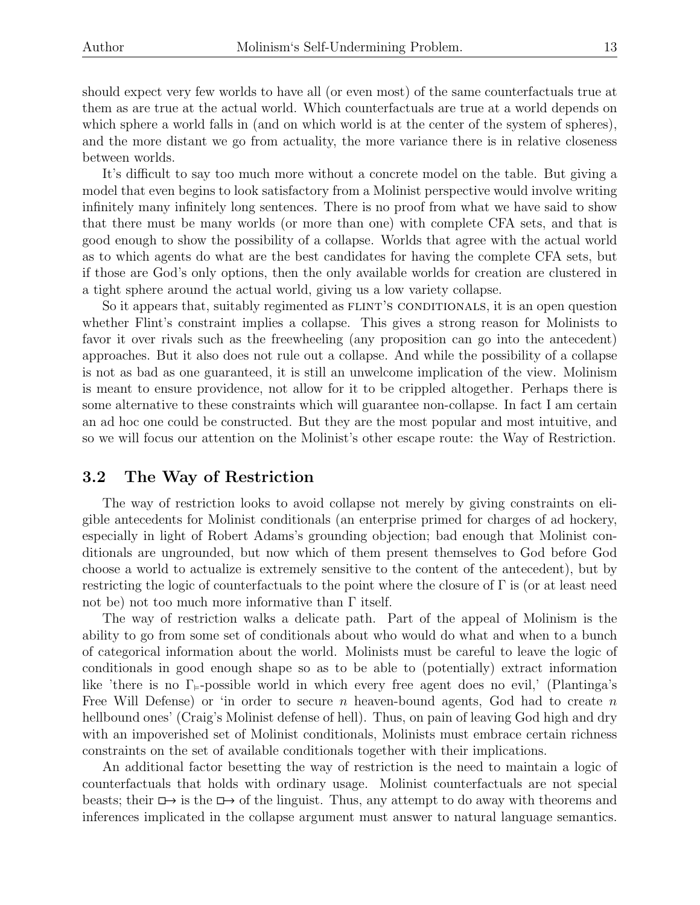should expect very few worlds to have all (or even most) of the same counterfactuals true at them as are true at the actual world. Which counterfactuals are true at a world depends on which sphere a world falls in (and on which world is at the center of the system of spheres), and the more distant we go from actuality, the more variance there is in relative closeness between worlds.

It's difficult to say too much more without a concrete model on the table. But giving a model that even begins to look satisfactory from a Molinist perspective would involve writing infinitely many infinitely long sentences. There is no proof from what we have said to show that there must be many worlds (or more than one) with complete CFA sets, and that is good enough to show the possibility of a collapse. Worlds that agree with the actual world as to which agents do what are the best candidates for having the complete CFA sets, but if those are God's only options, then the only available worlds for creation are clustered in a tight sphere around the actual world, giving us a low variety collapse.

So it appears that, suitably regimented as FLINT'S CONDITIONALS, it is an open question whether Flint's constraint implies a collapse. This gives a strong reason for Molinists to favor it over rivals such as the freewheeling (any proposition can go into the antecedent) approaches. But it also does not rule out a collapse. And while the possibility of a collapse is not as bad as one guaranteed, it is still an unwelcome implication of the view. Molinism is meant to ensure providence, not allow for it to be crippled altogether. Perhaps there is some alternative to these constraints which will guarantee non-collapse. In fact I am certain an ad hoc one could be constructed. But they are the most popular and most intuitive, and so we will focus our attention on the Molinist's other escape route: the Way of Restriction.

### 3.2 The Way of Restriction

The way of restriction looks to avoid collapse not merely by giving constraints on eligible antecedents for Molinist conditionals (an enterprise primed for charges of ad hockery, especially in light of Robert Adams's grounding objection; bad enough that Molinist conditionals are ungrounded, but now which of them present themselves to God before God choose a world to actualize is extremely sensitive to the content of the antecedent), but by restricting the logic of counterfactuals to the point where the closure of  $\Gamma$  is (or at least need not be) not too much more informative than  $\Gamma$  itself.

The way of restriction walks a delicate path. Part of the appeal of Molinism is the ability to go from some set of conditionals about who would do what and when to a bunch of categorical information about the world. Molinists must be careful to leave the logic of conditionals in good enough shape so as to be able to (potentially) extract information like 'there is no  $\Gamma_{\models}$ -possible world in which every free agent does no evil,' (Plantinga's Free Will Defense) or 'in order to secure n heaven-bound agents, God had to create n hellbound ones' (Craig's Molinist defense of hell). Thus, on pain of leaving God high and dry with an impoverished set of Molinist conditionals, Molinists must embrace certain richness constraints on the set of available conditionals together with their implications.

An additional factor besetting the way of restriction is the need to maintain a logic of counterfactuals that holds with ordinary usage. Molinist counterfactuals are not special beasts; their  $\Box \rightarrow$  is the  $\Box \rightarrow$  of the linguist. Thus, any attempt to do away with theorems and inferences implicated in the collapse argument must answer to natural language semantics.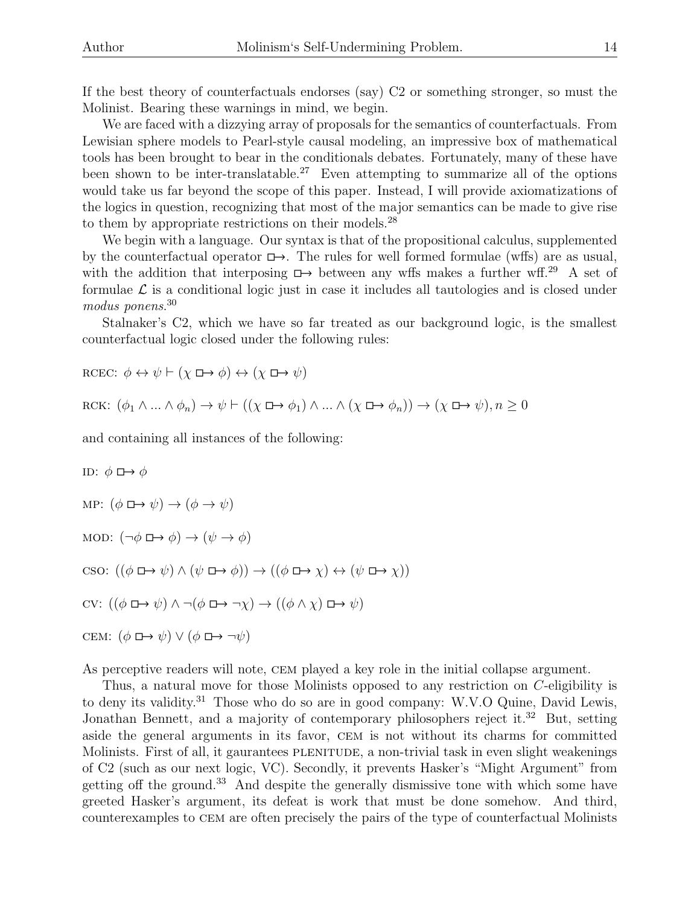If the best theory of counterfactuals endorses (say) C2 or something stronger, so must the Molinist. Bearing these warnings in mind, we begin.

We are faced with a dizzying array of proposals for the semantics of counterfactuals. From Lewisian sphere models to Pearl-style causal modeling, an impressive box of mathematical tools has been brought to bear in the conditionals debates. Fortunately, many of these have been shown to be inter-translatable.<sup>27</sup> Even attempting to summarize all of the options would take us far beyond the scope of this paper. Instead, I will provide axiomatizations of the logics in question, recognizing that most of the major semantics can be made to give rise to them by appropriate restrictions on their models.<sup>28</sup>

We begin with a language. Our syntax is that of the propositional calculus, supplemented by the counterfactual operator  $\Box \rightarrow$ . The rules for well formed formulae (wffs) are as usual, with the addition that interposing  $\Box$  between any wffs makes a further wff.<sup>29</sup> A set of formulae  $\mathcal L$  is a conditional logic just in case it includes all tautologies and is closed under modus ponens. 30

Stalnaker's C2, which we have so far treated as our background logic, is the smallest counterfactual logic closed under the following rules:

$$
RCEC: \phi \leftrightarrow \psi \vdash (\chi \Box \rightarrow \phi) \leftrightarrow (\chi \Box \rightarrow \psi)
$$

$$
RCK: (\phi_1 \land ... \land \phi_n) \to \psi \vdash ((\chi \Box \to \phi_1) \land ... \land (\chi \Box \to \phi_n)) \to (\chi \Box \to \psi), n \ge 0
$$

and containing all instances of the following:

ID:  $\phi \mapsto \phi$ MP:  $(\phi \mapsto \psi) \rightarrow (\phi \rightarrow \psi)$ MOD:  $(\neg \phi \Box \rightarrow \phi) \rightarrow (\psi \rightarrow \phi)$ cso:  $((\phi \Box \rightarrow \psi) \land (\psi \Box \rightarrow \phi)) \rightarrow ((\phi \Box \rightarrow \chi) \leftrightarrow (\psi \Box \rightarrow \chi))$ cv:  $((\phi \mapsto \psi) \land \neg(\phi \mapsto \neg \chi) \to ((\phi \land \chi) \mapsto \psi)$ CEM:  $(\phi \mapsto \psi) \vee (\phi \mapsto \neg \psi)$ 

As perceptive readers will note, cem played a key role in the initial collapse argument.

Thus, a natural move for those Molinists opposed to any restriction on C-eligibility is to deny its validity.<sup>31</sup> Those who do so are in good company: W.V.O Quine, David Lewis, Jonathan Bennett, and a majority of contemporary philosophers reject it.<sup>32</sup> But, setting aside the general arguments in its favor, cem is not without its charms for committed Molinists. First of all, it gaurantees PLENITUDE, a non-trivial task in even slight weakenings of C2 (such as our next logic, VC). Secondly, it prevents Hasker's "Might Argument" from getting off the ground.<sup>33</sup> And despite the generally dismissive tone with which some have greeted Hasker's argument, its defeat is work that must be done somehow. And third, counterexamples to cem are often precisely the pairs of the type of counterfactual Molinists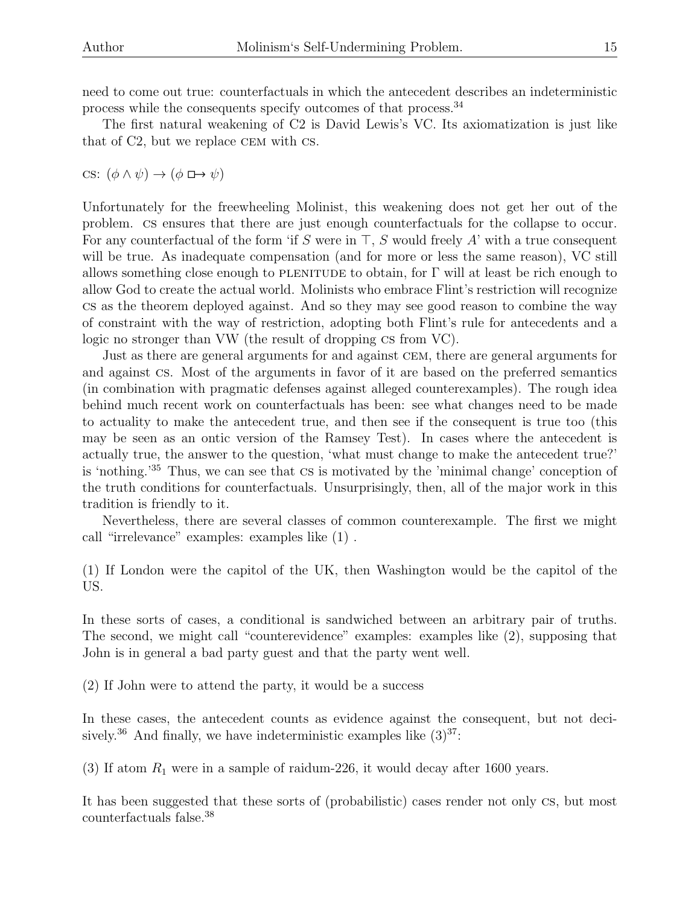need to come out true: counterfactuals in which the antecedent describes an indeterministic process while the consequents specify outcomes of that process.<sup>34</sup>

The first natural weakening of C2 is David Lewis's VC. Its axiomatization is just like that of C2, but we replace cem with cs.

cs:  $(\phi \land \psi) \rightarrow (\phi \Box \rightarrow \psi)$ 

Unfortunately for the freewheeling Molinist, this weakening does not get her out of the problem. cs ensures that there are just enough counterfactuals for the collapse to occur. For any counterfactual of the form 'if S were in  $\top$ , S would freely A' with a true consequent will be true. As inadequate compensation (and for more or less the same reason), VC still allows something close enough to PLENITUDE to obtain, for  $\Gamma$  will at least be rich enough to allow God to create the actual world. Molinists who embrace Flint's restriction will recognize cs as the theorem deployed against. And so they may see good reason to combine the way of constraint with the way of restriction, adopting both Flint's rule for antecedents and a logic no stronger than VW (the result of dropping cs from VC).

Just as there are general arguments for and against cem, there are general arguments for and against cs. Most of the arguments in favor of it are based on the preferred semantics (in combination with pragmatic defenses against alleged counterexamples). The rough idea behind much recent work on counterfactuals has been: see what changes need to be made to actuality to make the antecedent true, and then see if the consequent is true too (this may be seen as an ontic version of the Ramsey Test). In cases where the antecedent is actually true, the answer to the question, 'what must change to make the antecedent true?' is 'nothing.'<sup>35</sup> Thus, we can see that cs is motivated by the 'minimal change' conception of the truth conditions for counterfactuals. Unsurprisingly, then, all of the major work in this tradition is friendly to it.

Nevertheless, there are several classes of common counterexample. The first we might call "irrelevance" examples: examples like (1) .

(1) If London were the capitol of the UK, then Washington would be the capitol of the US.

In these sorts of cases, a conditional is sandwiched between an arbitrary pair of truths. The second, we might call "counterevidence" examples: examples like (2), supposing that John is in general a bad party guest and that the party went well.

(2) If John were to attend the party, it would be a success

In these cases, the antecedent counts as evidence against the consequent, but not decisively.<sup>36</sup> And finally, we have indeterministic examples like  $(3)^{37}$ :

(3) If atom  $R_1$  were in a sample of raidum-226, it would decay after 1600 years.

It has been suggested that these sorts of (probabilistic) cases render not only cs, but most counterfactuals false.<sup>38</sup>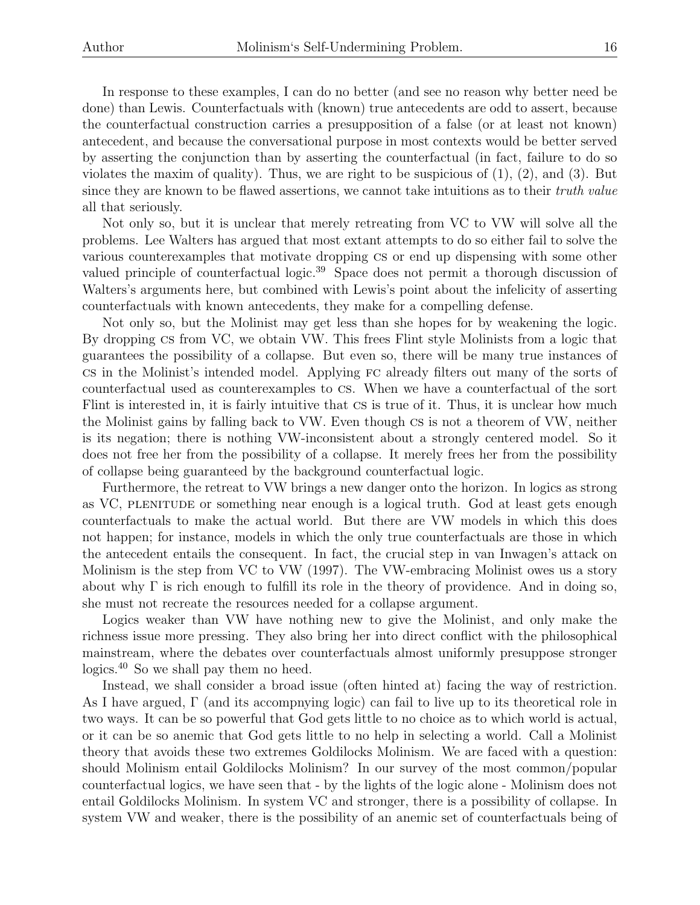In response to these examples, I can do no better (and see no reason why better need be done) than Lewis. Counterfactuals with (known) true antecedents are odd to assert, because the counterfactual construction carries a presupposition of a false (or at least not known) antecedent, and because the conversational purpose in most contexts would be better served by asserting the conjunction than by asserting the counterfactual (in fact, failure to do so violates the maxim of quality). Thus, we are right to be suspicious of  $(1)$ ,  $(2)$ , and  $(3)$ . But since they are known to be flawed assertions, we cannot take intuitions as to their *truth value* all that seriously.

Not only so, but it is unclear that merely retreating from VC to VW will solve all the problems. Lee Walters has argued that most extant attempts to do so either fail to solve the various counterexamples that motivate dropping cs or end up dispensing with some other valued principle of counterfactual logic.<sup>39</sup> Space does not permit a thorough discussion of Walters's arguments here, but combined with Lewis's point about the infelicity of asserting counterfactuals with known antecedents, they make for a compelling defense.

Not only so, but the Molinist may get less than she hopes for by weakening the logic. By dropping cs from VC, we obtain VW. This frees Flint style Molinists from a logic that guarantees the possibility of a collapse. But even so, there will be many true instances of cs in the Molinist's intended model. Applying fc already filters out many of the sorts of counterfactual used as counterexamples to cs. When we have a counterfactual of the sort Flint is interested in, it is fairly intuitive that cs is true of it. Thus, it is unclear how much the Molinist gains by falling back to VW. Even though cs is not a theorem of VW, neither is its negation; there is nothing VW-inconsistent about a strongly centered model. So it does not free her from the possibility of a collapse. It merely frees her from the possibility of collapse being guaranteed by the background counterfactual logic.

Furthermore, the retreat to VW brings a new danger onto the horizon. In logics as strong as VC, PLENITUDE or something near enough is a logical truth. God at least gets enough counterfactuals to make the actual world. But there are VW models in which this does not happen; for instance, models in which the only true counterfactuals are those in which the antecedent entails the consequent. In fact, the crucial step in van Inwagen's attack on Molinism is the step from VC to VW (1997). The VW-embracing Molinist owes us a story about why  $\Gamma$  is rich enough to fulfill its role in the theory of providence. And in doing so, she must not recreate the resources needed for a collapse argument.

Logics weaker than VW have nothing new to give the Molinist, and only make the richness issue more pressing. They also bring her into direct conflict with the philosophical mainstream, where the debates over counterfactuals almost uniformly presuppose stronger logics.<sup>40</sup> So we shall pay them no heed.

Instead, we shall consider a broad issue (often hinted at) facing the way of restriction. As I have argued, Γ (and its accompnying logic) can fail to live up to its theoretical role in two ways. It can be so powerful that God gets little to no choice as to which world is actual, or it can be so anemic that God gets little to no help in selecting a world. Call a Molinist theory that avoids these two extremes Goldilocks Molinism. We are faced with a question: should Molinism entail Goldilocks Molinism? In our survey of the most common/popular counterfactual logics, we have seen that - by the lights of the logic alone - Molinism does not entail Goldilocks Molinism. In system VC and stronger, there is a possibility of collapse. In system VW and weaker, there is the possibility of an anemic set of counterfactuals being of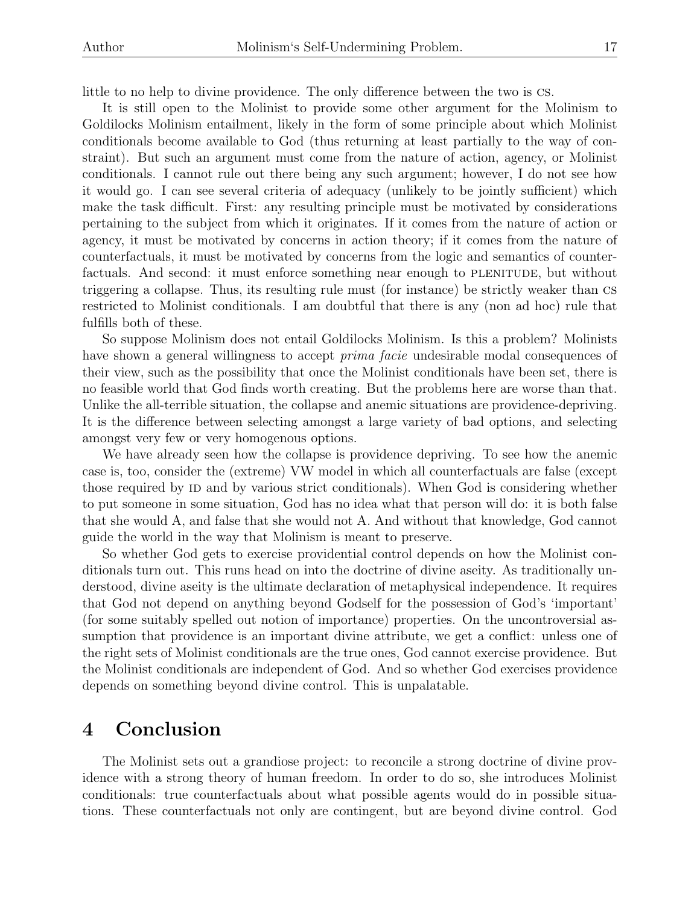little to no help to divine providence. The only difference between the two is cs.

It is still open to the Molinist to provide some other argument for the Molinism to Goldilocks Molinism entailment, likely in the form of some principle about which Molinist conditionals become available to God (thus returning at least partially to the way of constraint). But such an argument must come from the nature of action, agency, or Molinist conditionals. I cannot rule out there being any such argument; however, I do not see how it would go. I can see several criteria of adequacy (unlikely to be jointly sufficient) which make the task difficult. First: any resulting principle must be motivated by considerations pertaining to the subject from which it originates. If it comes from the nature of action or agency, it must be motivated by concerns in action theory; if it comes from the nature of counterfactuals, it must be motivated by concerns from the logic and semantics of counterfactuals. And second: it must enforce something near enough to PLENITUDE, but without triggering a collapse. Thus, its resulting rule must (for instance) be strictly weaker than cs restricted to Molinist conditionals. I am doubtful that there is any (non ad hoc) rule that fulfills both of these.

So suppose Molinism does not entail Goldilocks Molinism. Is this a problem? Molinists have shown a general willingness to accept *prima facie* undesirable modal consequences of their view, such as the possibility that once the Molinist conditionals have been set, there is no feasible world that God finds worth creating. But the problems here are worse than that. Unlike the all-terrible situation, the collapse and anemic situations are providence-depriving. It is the difference between selecting amongst a large variety of bad options, and selecting amongst very few or very homogenous options.

We have already seen how the collapse is providence depriving. To see how the anemic case is, too, consider the (extreme) VW model in which all counterfactuals are false (except those required by ID and by various strict conditionals). When God is considering whether to put someone in some situation, God has no idea what that person will do: it is both false that she would A, and false that she would not A. And without that knowledge, God cannot guide the world in the way that Molinism is meant to preserve.

So whether God gets to exercise providential control depends on how the Molinist conditionals turn out. This runs head on into the doctrine of divine aseity. As traditionally understood, divine aseity is the ultimate declaration of metaphysical independence. It requires that God not depend on anything beyond Godself for the possession of God's 'important' (for some suitably spelled out notion of importance) properties. On the uncontroversial assumption that providence is an important divine attribute, we get a conflict: unless one of the right sets of Molinist conditionals are the true ones, God cannot exercise providence. But the Molinist conditionals are independent of God. And so whether God exercises providence depends on something beyond divine control. This is unpalatable.

## 4 Conclusion

The Molinist sets out a grandiose project: to reconcile a strong doctrine of divine providence with a strong theory of human freedom. In order to do so, she introduces Molinist conditionals: true counterfactuals about what possible agents would do in possible situations. These counterfactuals not only are contingent, but are beyond divine control. God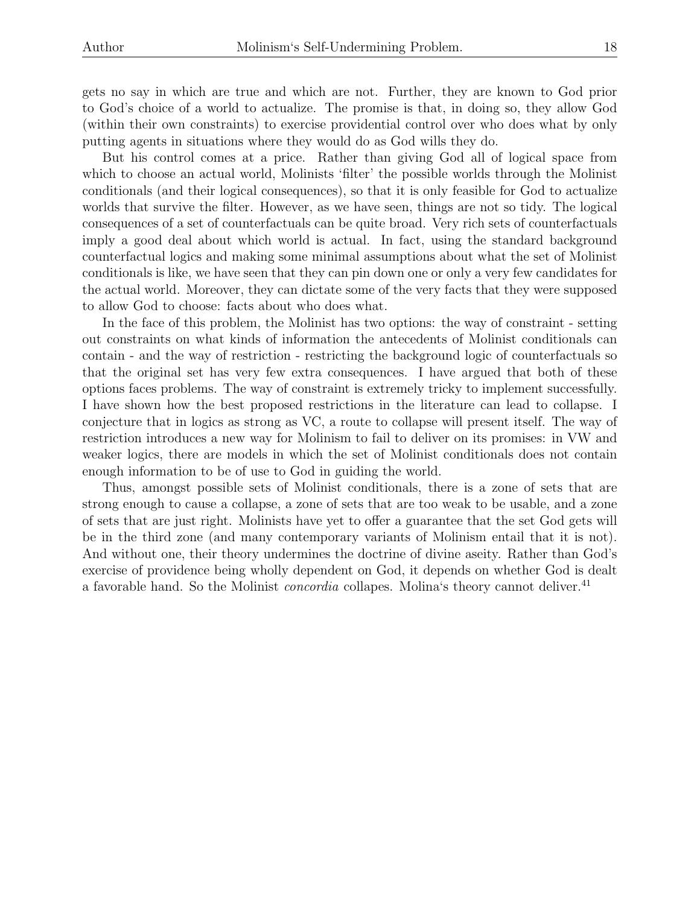gets no say in which are true and which are not. Further, they are known to God prior to God's choice of a world to actualize. The promise is that, in doing so, they allow God (within their own constraints) to exercise providential control over who does what by only putting agents in situations where they would do as God wills they do.

But his control comes at a price. Rather than giving God all of logical space from which to choose an actual world, Molinists 'filter' the possible worlds through the Molinist conditionals (and their logical consequences), so that it is only feasible for God to actualize worlds that survive the filter. However, as we have seen, things are not so tidy. The logical consequences of a set of counterfactuals can be quite broad. Very rich sets of counterfactuals imply a good deal about which world is actual. In fact, using the standard background counterfactual logics and making some minimal assumptions about what the set of Molinist conditionals is like, we have seen that they can pin down one or only a very few candidates for the actual world. Moreover, they can dictate some of the very facts that they were supposed to allow God to choose: facts about who does what.

In the face of this problem, the Molinist has two options: the way of constraint - setting out constraints on what kinds of information the antecedents of Molinist conditionals can contain - and the way of restriction - restricting the background logic of counterfactuals so that the original set has very few extra consequences. I have argued that both of these options faces problems. The way of constraint is extremely tricky to implement successfully. I have shown how the best proposed restrictions in the literature can lead to collapse. I conjecture that in logics as strong as VC, a route to collapse will present itself. The way of restriction introduces a new way for Molinism to fail to deliver on its promises: in VW and weaker logics, there are models in which the set of Molinist conditionals does not contain enough information to be of use to God in guiding the world.

Thus, amongst possible sets of Molinist conditionals, there is a zone of sets that are strong enough to cause a collapse, a zone of sets that are too weak to be usable, and a zone of sets that are just right. Molinists have yet to offer a guarantee that the set God gets will be in the third zone (and many contemporary variants of Molinism entail that it is not). And without one, their theory undermines the doctrine of divine aseity. Rather than God's exercise of providence being wholly dependent on God, it depends on whether God is dealt a favorable hand. So the Molinist *concordia* collapes. Molina's theory cannot deliver.<sup>41</sup>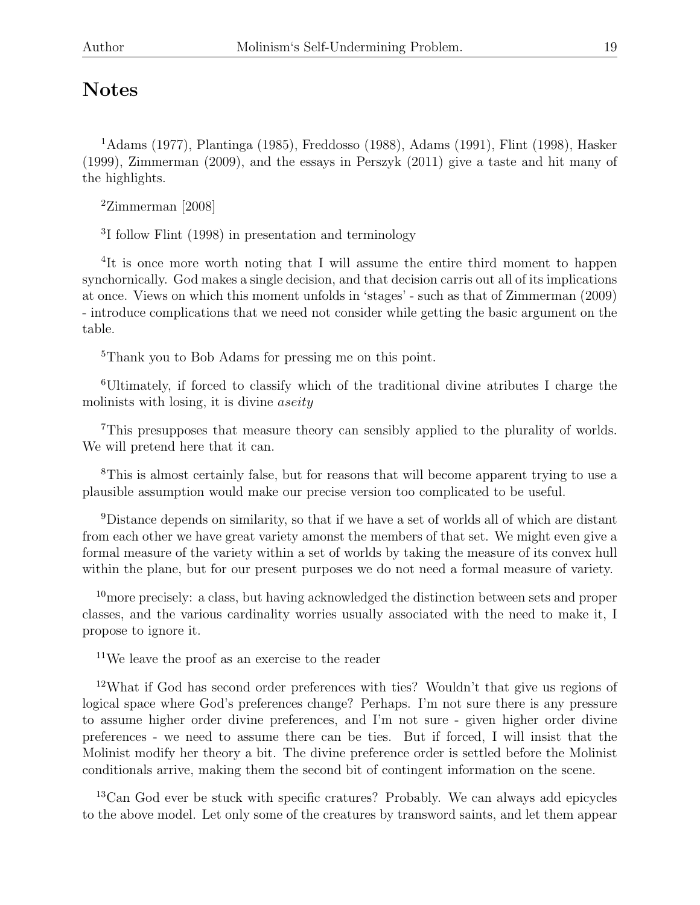# Notes

<sup>1</sup>Adams (1977), Plantinga (1985), Freddosso (1988), Adams (1991), Flint (1998), Hasker (1999), Zimmerman (2009), and the essays in Perszyk (2011) give a taste and hit many of the highlights.

 $2$ Zimmerman [2008]

3 I follow Flint (1998) in presentation and terminology

<sup>4</sup>It is once more worth noting that I will assume the entire third moment to happen synchornically. God makes a single decision, and that decision carris out all of its implications at once. Views on which this moment unfolds in 'stages' - such as that of Zimmerman (2009) - introduce complications that we need not consider while getting the basic argument on the table.

<sup>5</sup>Thank you to Bob Adams for pressing me on this point.

<sup>6</sup>Ultimately, if forced to classify which of the traditional divine atributes I charge the molinists with losing, it is divine *aseity* 

<sup>7</sup>This presupposes that measure theory can sensibly applied to the plurality of worlds. We will pretend here that it can.

<sup>8</sup>This is almost certainly false, but for reasons that will become apparent trying to use a plausible assumption would make our precise version too complicated to be useful.

<sup>9</sup>Distance depends on similarity, so that if we have a set of worlds all of which are distant from each other we have great variety amonst the members of that set. We might even give a formal measure of the variety within a set of worlds by taking the measure of its convex hull within the plane, but for our present purposes we do not need a formal measure of variety.

<sup>10</sup>more precisely: a class, but having acknowledged the distinction between sets and proper classes, and the various cardinality worries usually associated with the need to make it, I propose to ignore it.

<sup>11</sup>We leave the proof as an exercise to the reader

<sup>12</sup>What if God has second order preferences with ties? Wouldn't that give us regions of logical space where God's preferences change? Perhaps. I'm not sure there is any pressure to assume higher order divine preferences, and I'm not sure - given higher order divine preferences - we need to assume there can be ties. But if forced, I will insist that the Molinist modify her theory a bit. The divine preference order is settled before the Molinist conditionals arrive, making them the second bit of contingent information on the scene.

<sup>13</sup>Can God ever be stuck with specific cratures? Probably. We can always add epicycles to the above model. Let only some of the creatures by transword saints, and let them appear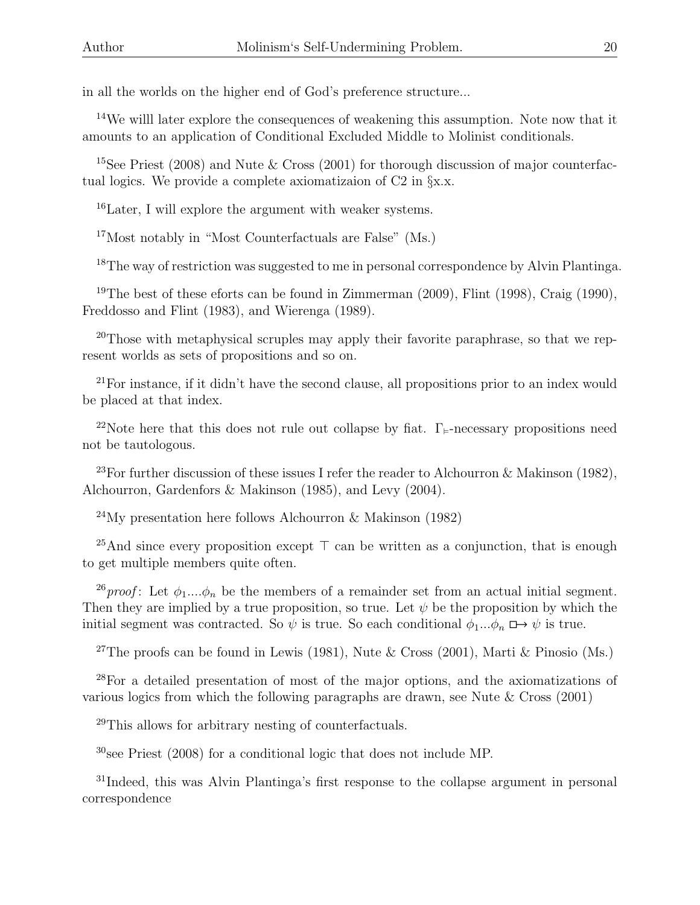in all the worlds on the higher end of God's preference structure...

<sup>14</sup>We willl later explore the consequences of weakening this assumption. Note now that it amounts to an application of Conditional Excluded Middle to Molinist conditionals.

<sup>15</sup>See Priest (2008) and Nute & Cross (2001) for thorough discussion of major counterfactual logics. We provide a complete axiomatizaion of C2 in §x.x.

<sup>16</sup>Later, I will explore the argument with weaker systems.

<sup>17</sup>Most notably in "Most Counterfactuals are False" (Ms.)

<sup>18</sup>The way of restriction was suggested to me in personal correspondence by Alvin Plantinga.

<sup>19</sup>The best of these eforts can be found in Zimmerman  $(2009)$ , Flint  $(1998)$ , Craig  $(1990)$ , Freddosso and Flint (1983), and Wierenga (1989).

 $20$ Those with metaphysical scruples may apply their favorite paraphrase, so that we represent worlds as sets of propositions and so on.

 $21$ For instance, if it didn't have the second clause, all propositions prior to an index would be placed at that index.

<sup>22</sup>Note here that this does not rule out collapse by fiat.  $\Gamma_{\varepsilon}$ -necessary propositions need not be tautologous.

<sup>23</sup>For further discussion of these issues I refer the reader to Alchourron & Makinson (1982), Alchourron, Gardenfors & Makinson (1985), and Levy (2004).

<sup>24</sup>My presentation here follows Alchourron & Makinson (1982)

<sup>25</sup>And since every proposition except  $\top$  can be written as a conjunction, that is enough to get multiple members quite often.

<sup>26</sup>proof: Let  $\phi_1...\phi_n$  be the members of a remainder set from an actual initial segment. Then they are implied by a true proposition, so true. Let  $\psi$  be the proposition by which the initial segment was contracted. So  $\psi$  is true. So each conditional  $\phi_1...\phi_n \mapsto \psi$  is true.

<sup>27</sup>The proofs can be found in Lewis (1981), Nute & Cross (2001), Marti & Pinosio (Ms.)

<sup>28</sup>For a detailed presentation of most of the major options, and the axiomatizations of various logics from which the following paragraphs are drawn, see Nute & Cross (2001)

<sup>29</sup>This allows for arbitrary nesting of counterfactuals.

 $30$ see Priest (2008) for a conditional logic that does not include MP.

<sup>31</sup>Indeed, this was Alvin Plantinga's first response to the collapse argument in personal correspondence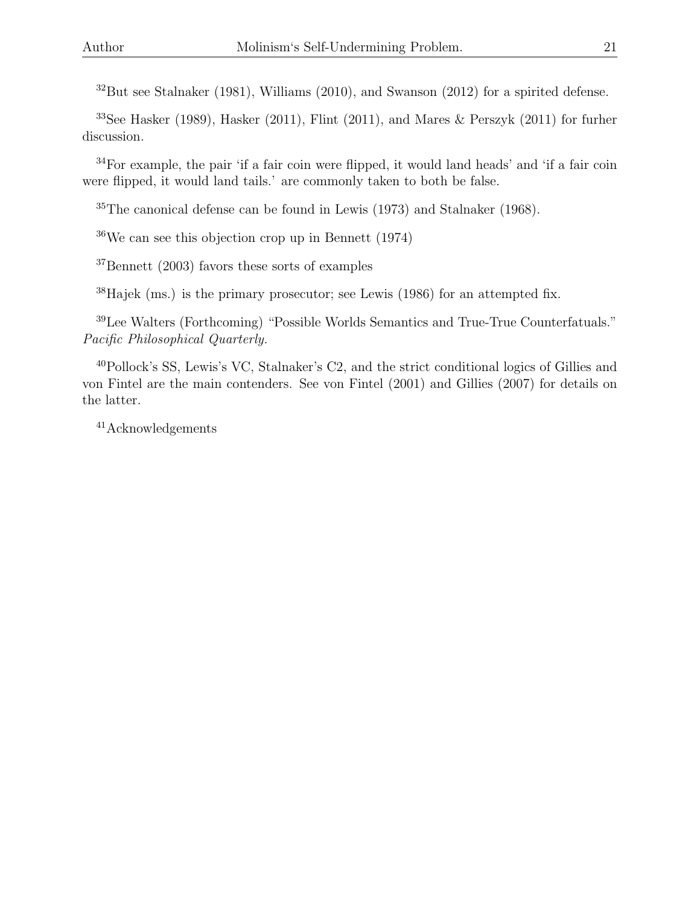$32$ But see Stalnaker (1981), Williams (2010), and Swanson (2012) for a spirited defense.

<sup>33</sup>See Hasker (1989), Hasker (2011), Flint (2011), and Mares & Perszyk (2011) for furher discussion.

<sup>34</sup>For example, the pair 'if a fair coin were flipped, it would land heads' and 'if a fair coin were flipped, it would land tails.' are commonly taken to both be false.

 $35$ The canonical defense can be found in Lewis (1973) and Stalnaker (1968).

 $36\text{We can see this objection crop up in Bennett } (1974)$ 

<sup>37</sup>Bennett (2003) favors these sorts of examples

<sup>38</sup>Hajek (ms.) is the primary prosecutor; see Lewis (1986) for an attempted fix.

<sup>39</sup>Lee Walters (Forthcoming) "Possible Worlds Semantics and True-True Counterfatuals." Pacific Philosophical Quarterly.

<sup>40</sup>Pollock's SS, Lewis's VC, Stalnaker's C2, and the strict conditional logics of Gillies and von Fintel are the main contenders. See von Fintel (2001) and Gillies (2007) for details on the latter.

<sup>41</sup>Acknowledgements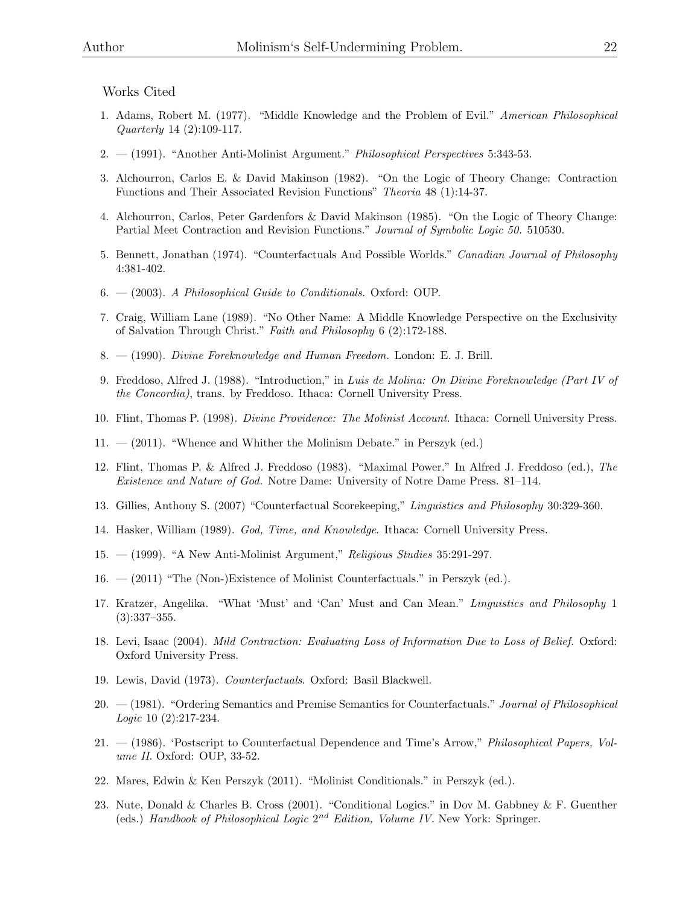#### Works Cited

- 1. Adams, Robert M. (1977). "Middle Knowledge and the Problem of Evil." American Philosophical Quarterly 14 (2):109-117.
- 2. (1991). "Another Anti-Molinist Argument." Philosophical Perspectives 5:343-53.
- 3. Alchourron, Carlos E. & David Makinson (1982). "On the Logic of Theory Change: Contraction Functions and Their Associated Revision Functions" Theoria 48 (1):14-37.
- 4. Alchourron, Carlos, Peter Gardenfors & David Makinson (1985). "On the Logic of Theory Change: Partial Meet Contraction and Revision Functions." Journal of Symbolic Logic 50. 510530.
- 5. Bennett, Jonathan (1974). "Counterfactuals And Possible Worlds." Canadian Journal of Philosophy 4:381-402.
- 6. (2003). A Philosophical Guide to Conditionals. Oxford: OUP.
- 7. Craig, William Lane (1989). "No Other Name: A Middle Knowledge Perspective on the Exclusivity of Salvation Through Christ." Faith and Philosophy 6 (2):172-188.
- 8. (1990). Divine Foreknowledge and Human Freedom. London: E. J. Brill.
- 9. Freddoso, Alfred J. (1988). "Introduction," in Luis de Molina: On Divine Foreknowledge (Part IV of the Concordia), trans. by Freddoso. Ithaca: Cornell University Press.
- 10. Flint, Thomas P. (1998). Divine Providence: The Molinist Account. Ithaca: Cornell University Press.
- 11. (2011). "Whence and Whither the Molinism Debate." in Perszyk (ed.)
- 12. Flint, Thomas P. & Alfred J. Freddoso (1983). "Maximal Power." In Alfred J. Freddoso (ed.), The Existence and Nature of God. Notre Dame: University of Notre Dame Press. 81–114.
- 13. Gillies, Anthony S. (2007) "Counterfactual Scorekeeping," Linguistics and Philosophy 30:329-360.
- 14. Hasker, William (1989). God, Time, and Knowledge. Ithaca: Cornell University Press.
- 15. (1999). "A New Anti-Molinist Argument," Religious Studies 35:291-297.
- 16. (2011) "The (Non-)Existence of Molinist Counterfactuals." in Perszyk (ed.).
- 17. Kratzer, Angelika. "What 'Must' and 'Can' Must and Can Mean." Linguistics and Philosophy 1 (3):337–355.
- 18. Levi, Isaac (2004). Mild Contraction: Evaluating Loss of Information Due to Loss of Belief. Oxford: Oxford University Press.
- 19. Lewis, David (1973). Counterfactuals. Oxford: Basil Blackwell.
- 20. (1981). "Ordering Semantics and Premise Semantics for Counterfactuals." Journal of Philosophical Logic 10 (2):217-234.
- 21. (1986). 'Postscript to Counterfactual Dependence and Time's Arrow," Philosophical Papers, Volume II. Oxford: OUP, 33-52.
- 22. Mares, Edwin & Ken Perszyk (2011). "Molinist Conditionals." in Perszyk (ed.).
- 23. Nute, Donald & Charles B. Cross (2001). "Conditional Logics." in Dov M. Gabbney & F. Guenther (eds.) Handbook of Philosophical Logic  $2^{nd}$  Edition, Volume IV. New York: Springer.